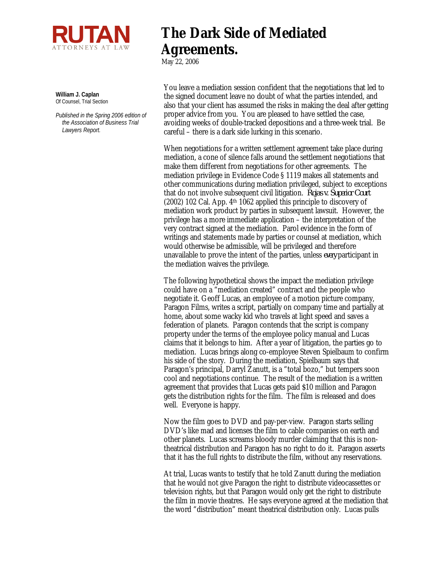

**William J. Caplan** Of Counsel, Trial Section

*Published in the Spring 2006 edition of the Association of Business Trial Lawyers Report.*

## **The Dark Side of Mediated Agreements.**

May 22, 2006

You leave a mediation session confident that the negotiations that led to the signed document leave no doubt of what the parties intended, and also that your client has assumed the risks in making the deal after getting proper advice from you. You are pleased to have settled the case, avoiding weeks of double-tracked depositions and a three-week trial. Be careful – there is a dark side lurking in this scenario.

When negotiations for a written settlement agreement take place during mediation, a cone of silence falls around the settlement negotiations that make them different from negotiations for other agreements. The mediation privilege in Evidence Code § 1119 makes all statements and other communications during mediation privileged, subject to exceptions that do not involve subsequent civil litigation. *Rojas v. Superior Court* (2002) 102 Cal. App. 4th 1062 applied this principle to discovery of mediation work product by parties in subsequent lawsuit. However, the privilege has a more immediate application – the interpretation of the very contract signed at the mediation. Parol evidence in the form of writings and statements made by parties or counsel at mediation, which would otherwise be admissible, will be privileged and therefore unavailable to prove the intent of the parties, unless *every* participant in the mediation waives the privilege.

The following hypothetical shows the impact the mediation privilege could have on a "mediation created" contract and the people who negotiate it. Geoff Lucas, an employee of a motion picture company, Paragon Films, writes a script, partially on company time and partially at home, about some wacky kid who travels at light speed and saves a federation of planets. Paragon contends that the script is company property under the terms of the employee policy manual and Lucas claims that it belongs to him. After a year of litigation, the parties go to mediation. Lucas brings along co-employee Steven Spielbaum to confirm his side of the story. During the mediation, Spielbaum says that Paragon's principal, Darryl Zanutt, is a "total bozo," but tempers soon cool and negotiations continue. The result of the mediation is a written agreement that provides that Lucas gets paid \$10 million and Paragon gets the distribution rights for the film. The film is released and does well. Everyone is happy.

Now the film goes to DVD and pay-per-view. Paragon starts selling DVD's like mad and licenses the film to cable companies on earth and other planets. Lucas screams bloody murder claiming that this is nontheatrical distribution and Paragon has no right to do it. Paragon asserts that it has the full rights to distribute the film, without any reservations.

At trial, Lucas wants to testify that he told Zanutt during the mediation that he would not give Paragon the right to distribute videocassettes or television rights, but that Paragon would only get the right to distribute the film in movie theatres. He says everyone agreed at the mediation that the word "distribution" meant theatrical distribution only. Lucas pulls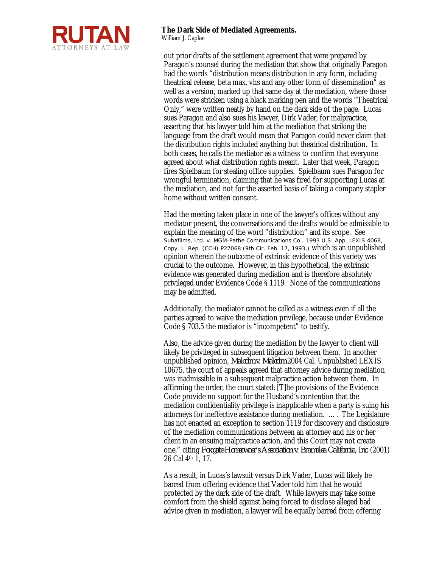

out prior drafts of the settlement agreement that were prepared by Paragon's counsel during the mediation that show that originally Paragon had the words "distribution means distribution in any form, including theatrical release, beta max, vhs and any other form of dissemination" as well as a version, marked up that same day at the mediation, where those words were stricken using a black marking pen and the words "Theatrical Only," were written neatly by hand on the dark side of the page. Lucas sues Paragon and also sues his lawyer, Dirk Vader, for malpractice, asserting that his lawyer told him at the mediation that striking the language from the draft would mean that Paragon could never claim that the distribution rights included anything but theatrical distribution. In both cases, he calls the mediator as a witness to confirm that everyone agreed about what distribution rights meant. Later that week, Paragon fires Spielbaum for stealing office supplies. Spielbaum sues Paragon for wrongful termination, claiming that he was fired for supporting Lucas at the mediation, and not for the asserted basis of taking a company stapler home without written consent.

Had the meeting taken place in one of the lawyer's offices without any mediator present, the conversations and the drafts would be admissible to explain the meaning of the word "distribution" and its scope. See *Subafilms, Ltd. v. MGM-Pathe Communications Co., 1993 U.S. App. LEXIS 4068, Copy. L. Rep. (CCH) P27068 (9th Cir. Feb. 17, 1993,)* which is an unpublished opinion wherein the outcome of extrinsic evidence of this variety was crucial to the outcome. However, in this hypothetical, the extrinsic evidence was generated during mediation and is therefore absolutely privileged under Evidence Code § 1119. None of the communications may be admitted.

Additionally, the mediator cannot be called as a witness even if all the parties agreed to waive the mediation privilege, because under Evidence Code § 703.5 the mediator is "incompetent" to testify.

Also, the advice given during the mediation by the lawyer to client will likely be privileged in subsequent litigation between them. In another unpublished opinion, *Malcolm v. Malcolm* 2004 Cal. Unpublished LEXIS 10675, the court of appeals agreed that attorney advice during mediation was inadmissible in a subsequent malpractice action between them. In affirming the order, the court stated: [T]he provisions of the Evidence Code provide no support for the Husband's contention that the mediation confidentiality privilege is inapplicable when a party is suing his attorneys for ineffective assistance during mediation. …. The Legislature has not enacted an exception to section 1119 for discovery and disclosure of the mediation communications between an attorney and his or her client in an ensuing malpractice action, and this Court may not create one," citing *Foxgate Homeowner's Association v. Bramalea California, Inc*. (2001) 26 Cal 4th 1, 17.

As a result, in Lucas's lawsuit versus Dirk Vader, Lucas will likely be barred from offering evidence that Vader told him that he would protected by the dark side of the draft. While lawyers may take some comfort from the shield against being forced to disclose alleged bad advice given in mediation, a lawyer will be equally barred from offering